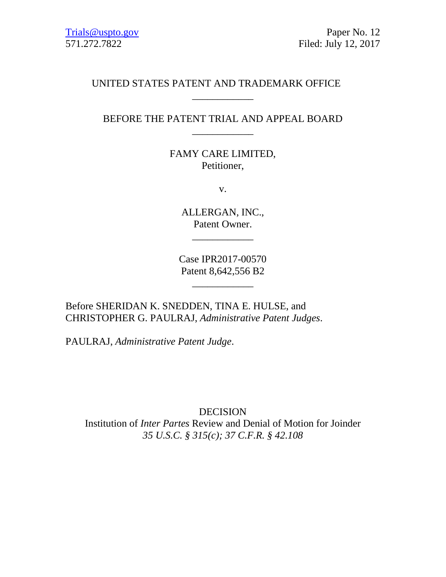# UNITED STATES PATENT AND TRADEMARK OFFICE

# BEFORE THE PATENT TRIAL AND APPEAL BOARD \_\_\_\_\_\_\_\_\_\_\_\_

\_\_\_\_\_\_\_\_\_\_\_\_

# FAMY CARE LIMITED, Petitioner,

v.

ALLERGAN, INC., Patent Owner.

\_\_\_\_\_\_\_\_\_\_\_\_

Case IPR2017-00570 Patent 8,642,556 B2

\_\_\_\_\_\_\_\_\_\_\_\_

Before SHERIDAN K. SNEDDEN, TINA E. HULSE, and CHRISTOPHER G. PAULRAJ, *Administrative Patent Judges*.

PAULRAJ, *Administrative Patent Judge*.

DECISION Institution of *Inter Partes* Review and Denial of Motion for Joinder *35 U.S.C. § 315(c); 37 C.F.R. § 42.108*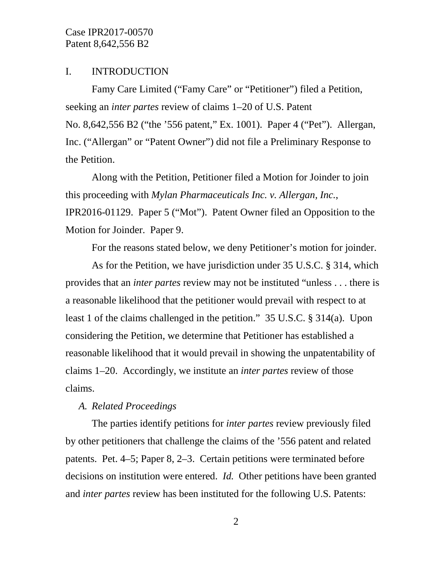#### I. INTRODUCTION

Famy Care Limited ("Famy Care" or "Petitioner") filed a Petition, seeking an *inter partes* review of claims 1–20 of U.S. Patent No. 8,642,556 B2 ("the '556 patent," Ex. 1001). Paper 4 ("Pet"). Allergan, Inc. ("Allergan" or "Patent Owner") did not file a Preliminary Response to the Petition.

Along with the Petition, Petitioner filed a Motion for Joinder to join this proceeding with *Mylan Pharmaceuticals Inc. v. Allergan, Inc.*, IPR2016-01129. Paper 5 ("Mot"). Patent Owner filed an Opposition to the Motion for Joinder. Paper 9.

For the reasons stated below, we deny Petitioner's motion for joinder.

As for the Petition, we have jurisdiction under 35 U.S.C. § 314, which provides that an *inter partes* review may not be instituted "unless . . . there is a reasonable likelihood that the petitioner would prevail with respect to at least 1 of the claims challenged in the petition." 35 U.S.C. § 314(a). Upon considering the Petition, we determine that Petitioner has established a reasonable likelihood that it would prevail in showing the unpatentability of claims 1–20. Accordingly, we institute an *inter partes* review of those claims.

### *A. Related Proceedings*

The parties identify petitions for *inter partes* review previously filed by other petitioners that challenge the claims of the '556 patent and related patents. Pet. 4–5; Paper 8, 2–3. Certain petitions were terminated before decisions on institution were entered. *Id.* Other petitions have been granted and *inter partes* review has been instituted for the following U.S. Patents: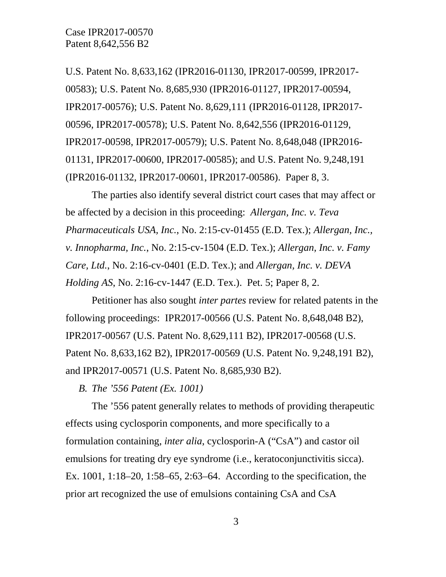U.S. Patent No. 8,633,162 (IPR2016-01130, IPR2017-00599, IPR2017- 00583); U.S. Patent No. 8,685,930 (IPR2016-01127, IPR2017-00594, IPR2017-00576); U.S. Patent No. 8,629,111 (IPR2016-01128, IPR2017- 00596, IPR2017-00578); U.S. Patent No. 8,642,556 (IPR2016-01129, IPR2017-00598, IPR2017-00579); U.S. Patent No. 8,648,048 (IPR2016- 01131, IPR2017-00600, IPR2017-00585); and U.S. Patent No. 9,248,191 (IPR2016-01132, IPR2017-00601, IPR2017-00586). Paper 8, 3.

The parties also identify several district court cases that may affect or be affected by a decision in this proceeding: *Allergan, Inc. v. Teva Pharmaceuticals USA, Inc.*, No. 2:15-cv-01455 (E.D. Tex.); *Allergan, Inc., v. Innopharma, Inc.*, No. 2:15-cv-1504 (E.D. Tex.); *Allergan, Inc. v. Famy Care, Ltd.*, No. 2:16-cv-0401 (E.D. Tex.); and *Allergan, Inc. v. DEVA Holding AS*, No. 2:16-cv-1447 (E.D. Tex.). Pet. 5; Paper 8, 2.

Petitioner has also sought *inter partes* review for related patents in the following proceedings: IPR2017-00566 (U.S. Patent No. 8,648,048 B2), IPR2017-00567 (U.S. Patent No. 8,629,111 B2), IPR2017-00568 (U.S. Patent No. 8,633,162 B2), IPR2017-00569 (U.S. Patent No. 9,248,191 B2), and IPR2017-00571 (U.S. Patent No. 8,685,930 B2).

*B. The '556 Patent (Ex. 1001)*

The '556 patent generally relates to methods of providing therapeutic effects using cyclosporin components, and more specifically to a formulation containing, *inter alia*, cyclosporin-A ("CsA") and castor oil emulsions for treating dry eye syndrome (i.e., keratoconjunctivitis sicca). Ex. 1001, 1:18–20, 1:58–65, 2:63–64. According to the specification, the prior art recognized the use of emulsions containing CsA and CsA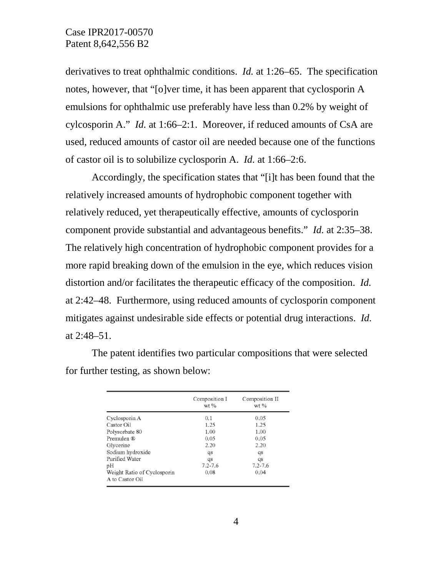derivatives to treat ophthalmic conditions. *Id.* at 1:26–65. The specification notes, however, that "[o]ver time, it has been apparent that cyclosporin A emulsions for ophthalmic use preferably have less than 0.2% by weight of cylcosporin A." *Id.* at 1:66–2:1. Moreover, if reduced amounts of CsA are used, reduced amounts of castor oil are needed because one of the functions of castor oil is to solubilize cyclosporin A. *Id.* at 1:66–2:6.

Accordingly, the specification states that "[i]t has been found that the relatively increased amounts of hydrophobic component together with relatively reduced, yet therapeutically effective, amounts of cyclosporin component provide substantial and advantageous benefits." *Id.* at 2:35–38. The relatively high concentration of hydrophobic component provides for a more rapid breaking down of the emulsion in the eye, which reduces vision distortion and/or facilitates the therapeutic efficacy of the composition. *Id.* at 2:42–48. Furthermore, using reduced amounts of cyclosporin component mitigates against undesirable side effects or potential drug interactions. *Id.* at 2:48–51.

The patent identifies two particular compositions that were selected for further testing, as shown below:

|                             | Composition I<br>$wt$ % | Composition II<br>wt % |  |
|-----------------------------|-------------------------|------------------------|--|
| Cyclosporin A               | 0.1                     | 0.05                   |  |
| Castor Oil                  | 1.25                    | 1.25                   |  |
| Polysorbate 80              | 1.00                    | 1.00                   |  |
| Premulen ®                  | 0.05                    | 0.05                   |  |
| Glycerine                   | 2.20                    | 2.20                   |  |
| Sodium hydroxide            | $q_{s}$                 | qs                     |  |
| Purified Water              | qs                      | qs                     |  |
| pН                          | $7.2 - 7.6$             | $7.2 - 7.6$            |  |
| Weight Ratio of Cyclosporin | 0.08                    | 0.04                   |  |
| A to Castor Oil             |                         |                        |  |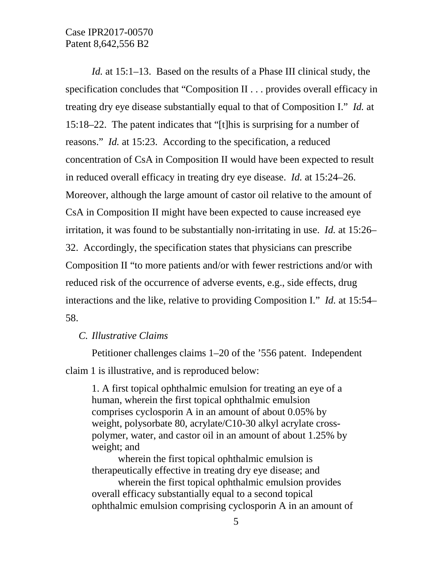*Id.* at 15:1–13. Based on the results of a Phase III clinical study, the specification concludes that "Composition II . . . provides overall efficacy in treating dry eye disease substantially equal to that of Composition I." *Id.* at 15:18–22. The patent indicates that "[t]his is surprising for a number of reasons." *Id.* at 15:23. According to the specification, a reduced concentration of CsA in Composition II would have been expected to result in reduced overall efficacy in treating dry eye disease. *Id.* at 15:24–26. Moreover, although the large amount of castor oil relative to the amount of CsA in Composition II might have been expected to cause increased eye irritation, it was found to be substantially non-irritating in use. *Id.* at 15:26– 32. Accordingly, the specification states that physicians can prescribe Composition II "to more patients and/or with fewer restrictions and/or with reduced risk of the occurrence of adverse events, e.g., side effects, drug interactions and the like, relative to providing Composition I." *Id.* at 15:54– 58.

*C. Illustrative Claims*

Petitioner challenges claims 1–20 of the '556 patent. Independent claim 1 is illustrative, and is reproduced below:

1. A first topical ophthalmic emulsion for treating an eye of a human, wherein the first topical ophthalmic emulsion comprises cyclosporin A in an amount of about 0.05% by weight, polysorbate 80, acrylate/C10-30 alkyl acrylate crosspolymer, water, and castor oil in an amount of about 1.25% by weight; and

wherein the first topical ophthalmic emulsion is therapeutically effective in treating dry eye disease; and

wherein the first topical ophthalmic emulsion provides overall efficacy substantially equal to a second topical ophthalmic emulsion comprising cyclosporin A in an amount of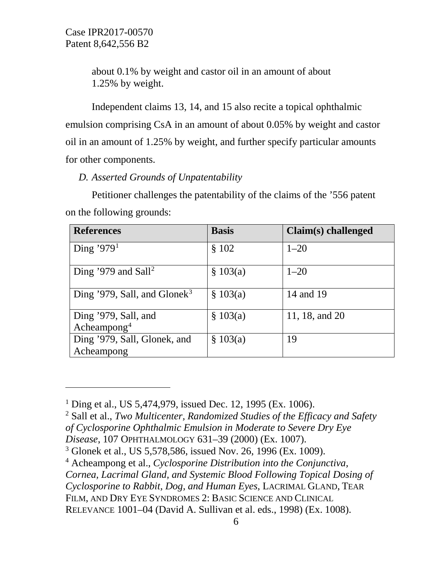$\overline{a}$ 

about 0.1% by weight and castor oil in an amount of about 1.25% by weight.

Independent claims 13, 14, and 15 also recite a topical ophthalmic emulsion comprising CsA in an amount of about 0.05% by weight and castor oil in an amount of 1.25% by weight, and further specify particular amounts for other components.

### *D. Asserted Grounds of Unpatentability*

Petitioner challenges the patentability of the claims of the '556 patent on the following grounds:

| <b>References</b>                               | <b>Basis</b> | Claim(s) challenged |
|-------------------------------------------------|--------------|---------------------|
| Ding '979 $^1$                                  | \$102        | $1 - 20$            |
| Ding '979 and Sall <sup>2</sup>                 | \$103(a)     | $1 - 20$            |
| Ding '979, Sall, and Glonek <sup>3</sup>        | \$103(a)     | 14 and 19           |
| Ding '979, Sall, and<br>Acheampong <sup>4</sup> | \$103(a)     | 11, 18, and 20      |
| Ding '979, Sall, Glonek, and<br>Acheampong      | \$103(a)     | 19                  |

<span id="page-5-0"></span><sup>1</sup> Ding et al., US 5,474,979, issued Dec. 12, 1995 (Ex. 1006).

<span id="page-5-1"></span><sup>2</sup> Sall et al., *Two Multicenter, Randomized Studies of the Efficacy and Safety of Cyclosporine Ophthalmic Emulsion in Moderate to Severe Dry Eye* 

*Disease*, 107 OPHTHALMOLOGY 631–39 (2000) (Ex. 1007).

<span id="page-5-3"></span><sup>4</sup> Acheampong et al., *Cyclosporine Distribution into the Conjunctiva, Cornea, Lacrimal Gland, and Systemic Blood Following Topical Dosing of Cyclosporine to Rabbit, Dog, and Human Eyes*, LACRIMAL GLAND, TEAR FILM, AND DRY EYE SYNDROMES 2: BASIC SCIENCE AND CLINICAL

RELEVANCE 1001–04 (David A. Sullivan et al. eds., 1998) (Ex. 1008).

<span id="page-5-2"></span><sup>&</sup>lt;sup>3</sup> Glonek et al., US 5,578,586, issued Nov. 26, 1996 (Ex. 1009).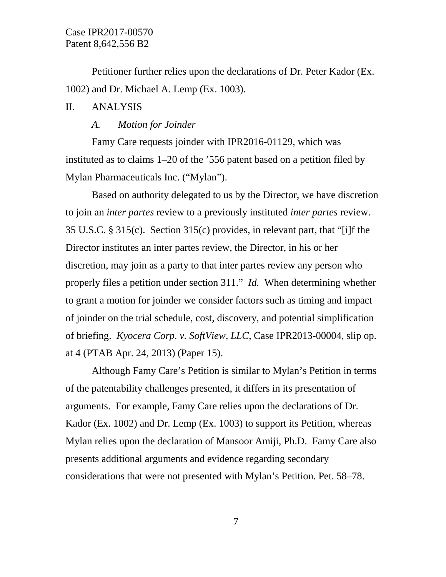Petitioner further relies upon the declarations of Dr. Peter Kador (Ex. 1002) and Dr. Michael A. Lemp (Ex. 1003).

### II. ANALYSIS

### *A. Motion for Joinder*

Famy Care requests joinder with IPR2016-01129, which was instituted as to claims 1–20 of the '556 patent based on a petition filed by Mylan Pharmaceuticals Inc. ("Mylan").

Based on authority delegated to us by the Director, we have discretion to join an *inter partes* review to a previously instituted *inter partes* review. 35 U.S.C. § 315(c). Section 315(c) provides, in relevant part, that "[i]f the Director institutes an inter partes review, the Director, in his or her discretion, may join as a party to that inter partes review any person who properly files a petition under section 311." *Id.* When determining whether to grant a motion for joinder we consider factors such as timing and impact of joinder on the trial schedule, cost, discovery, and potential simplification of briefing. *Kyocera Corp. v. SoftView, LLC*, Case IPR2013-00004, slip op. at 4 (PTAB Apr. 24, 2013) (Paper 15).

Although Famy Care's Petition is similar to Mylan's Petition in terms of the patentability challenges presented, it differs in its presentation of arguments. For example, Famy Care relies upon the declarations of Dr. Kador (Ex. 1002) and Dr. Lemp (Ex. 1003) to support its Petition, whereas Mylan relies upon the declaration of Mansoor Amiji, Ph.D. Famy Care also presents additional arguments and evidence regarding secondary considerations that were not presented with Mylan's Petition. Pet. 58–78.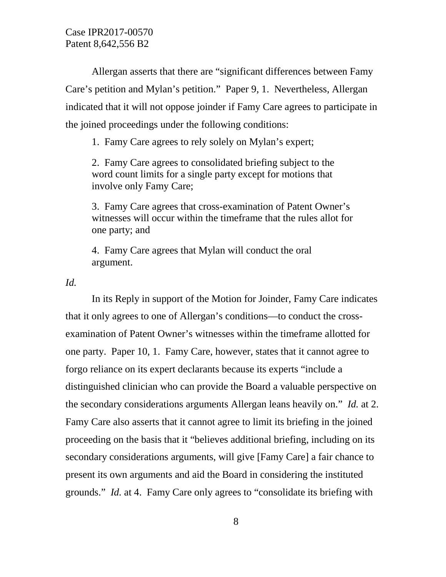Allergan asserts that there are "significant differences between Famy Care's petition and Mylan's petition." Paper 9, 1. Nevertheless, Allergan indicated that it will not oppose joinder if Famy Care agrees to participate in the joined proceedings under the following conditions:

1. Famy Care agrees to rely solely on Mylan's expert;

2. Famy Care agrees to consolidated briefing subject to the word count limits for a single party except for motions that involve only Famy Care;

3. Famy Care agrees that cross-examination of Patent Owner's witnesses will occur within the timeframe that the rules allot for one party; and

4. Famy Care agrees that Mylan will conduct the oral argument.

*Id.*

In its Reply in support of the Motion for Joinder, Famy Care indicates that it only agrees to one of Allergan's conditions—to conduct the crossexamination of Patent Owner's witnesses within the timeframe allotted for one party. Paper 10, 1. Famy Care, however, states that it cannot agree to forgo reliance on its expert declarants because its experts "include a distinguished clinician who can provide the Board a valuable perspective on the secondary considerations arguments Allergan leans heavily on." *Id.* at 2. Famy Care also asserts that it cannot agree to limit its briefing in the joined proceeding on the basis that it "believes additional briefing, including on its secondary considerations arguments, will give [Famy Care] a fair chance to present its own arguments and aid the Board in considering the instituted grounds." *Id.* at 4. Famy Care only agrees to "consolidate its briefing with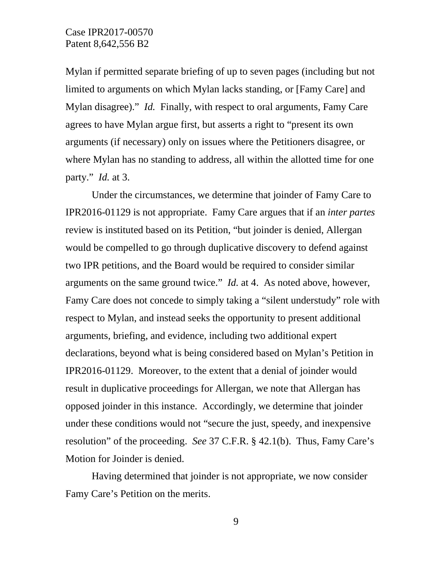Mylan if permitted separate briefing of up to seven pages (including but not limited to arguments on which Mylan lacks standing, or [Famy Care] and Mylan disagree)." *Id.* Finally, with respect to oral arguments, Famy Care agrees to have Mylan argue first, but asserts a right to "present its own arguments (if necessary) only on issues where the Petitioners disagree, or where Mylan has no standing to address, all within the allotted time for one party." *Id.* at 3.

Under the circumstances, we determine that joinder of Famy Care to IPR2016-01129 is not appropriate. Famy Care argues that if an *inter partes* review is instituted based on its Petition, "but joinder is denied, Allergan would be compelled to go through duplicative discovery to defend against two IPR petitions, and the Board would be required to consider similar arguments on the same ground twice." *Id.* at 4. As noted above, however, Famy Care does not concede to simply taking a "silent understudy" role with respect to Mylan, and instead seeks the opportunity to present additional arguments, briefing, and evidence, including two additional expert declarations, beyond what is being considered based on Mylan's Petition in IPR2016-01129. Moreover, to the extent that a denial of joinder would result in duplicative proceedings for Allergan, we note that Allergan has opposed joinder in this instance. Accordingly, we determine that joinder under these conditions would not "secure the just, speedy, and inexpensive resolution" of the proceeding. *See* 37 C.F.R. § 42.1(b). Thus, Famy Care's Motion for Joinder is denied.

Having determined that joinder is not appropriate, we now consider Famy Care's Petition on the merits.

9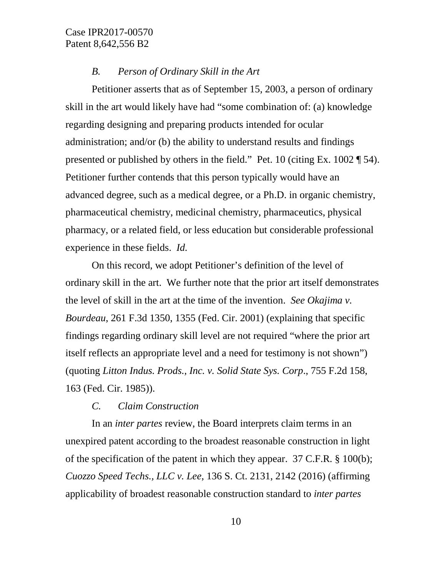#### *B. Person of Ordinary Skill in the Art*

Petitioner asserts that as of September 15, 2003, a person of ordinary skill in the art would likely have had "some combination of: (a) knowledge regarding designing and preparing products intended for ocular administration; and/or (b) the ability to understand results and findings presented or published by others in the field." Pet. 10 (citing Ex. 1002 ¶ 54). Petitioner further contends that this person typically would have an advanced degree, such as a medical degree, or a Ph.D. in organic chemistry, pharmaceutical chemistry, medicinal chemistry, pharmaceutics, physical pharmacy, or a related field, or less education but considerable professional experience in these fields. *Id.*

On this record, we adopt Petitioner's definition of the level of ordinary skill in the art. We further note that the prior art itself demonstrates the level of skill in the art at the time of the invention. *See Okajima v. Bourdeau*, 261 F.3d 1350, 1355 (Fed. Cir. 2001) (explaining that specific findings regarding ordinary skill level are not required "where the prior art itself reflects an appropriate level and a need for testimony is not shown") (quoting *Litton Indus. Prods., Inc. v. Solid State Sys. Corp*., 755 F.2d 158, 163 (Fed. Cir. 1985)).

#### *C. Claim Construction*

In an *inter partes* review, the Board interprets claim terms in an unexpired patent according to the broadest reasonable construction in light of the specification of the patent in which they appear. 37 C.F.R. § 100(b); *Cuozzo Speed Techs., LLC v. Lee*, 136 S. Ct. 2131, 2142 (2016) (affirming applicability of broadest reasonable construction standard to *inter partes*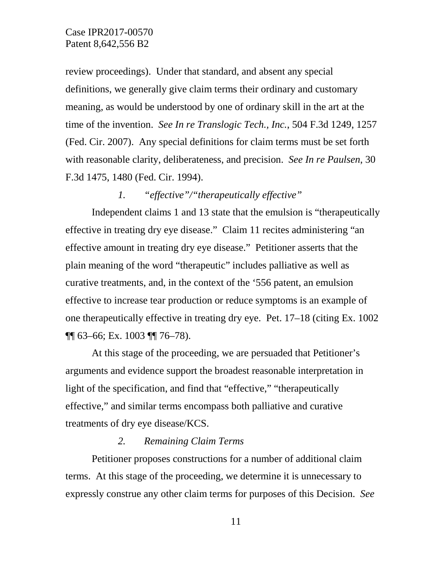review proceedings). Under that standard, and absent any special definitions, we generally give claim terms their ordinary and customary meaning, as would be understood by one of ordinary skill in the art at the time of the invention. *See In re Translogic Tech., Inc.*, 504 F.3d 1249, 1257 (Fed. Cir. 2007). Any special definitions for claim terms must be set forth with reasonable clarity, deliberateness, and precision. *See In re Paulsen*, 30 F.3d 1475, 1480 (Fed. Cir. 1994).

#### *1. "effective"/"therapeutically effective"*

Independent claims 1 and 13 state that the emulsion is "therapeutically effective in treating dry eye disease." Claim 11 recites administering "an effective amount in treating dry eye disease." Petitioner asserts that the plain meaning of the word "therapeutic" includes palliative as well as curative treatments, and, in the context of the '556 patent, an emulsion effective to increase tear production or reduce symptoms is an example of one therapeutically effective in treating dry eye. Pet. 17–18 (citing Ex. 1002 ¶¶ 63–66; Ex. 1003 ¶¶ 76–78).

At this stage of the proceeding, we are persuaded that Petitioner's arguments and evidence support the broadest reasonable interpretation in light of the specification, and find that "effective," "therapeutically effective," and similar terms encompass both palliative and curative treatments of dry eye disease/KCS.

#### *2. Remaining Claim Terms*

Petitioner proposes constructions for a number of additional claim terms. At this stage of the proceeding, we determine it is unnecessary to expressly construe any other claim terms for purposes of this Decision. *See*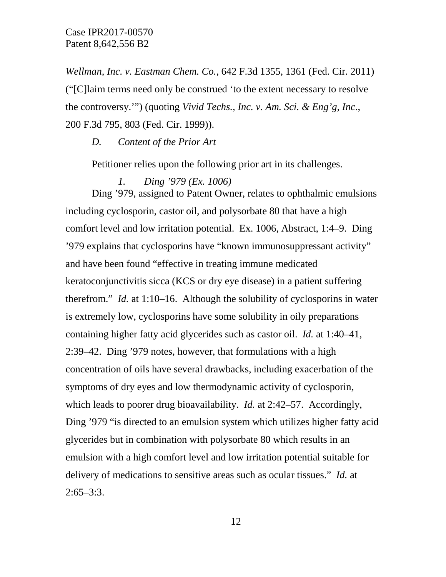*Wellman, Inc. v. Eastman Chem. Co.*, 642 F.3d 1355, 1361 (Fed. Cir. 2011) ("[C]laim terms need only be construed 'to the extent necessary to resolve the controversy.'") (quoting *Vivid Techs., Inc. v. Am. Sci. & Eng'g, Inc*., 200 F.3d 795, 803 (Fed. Cir. 1999)).

*D. Content of the Prior Art*

Petitioner relies upon the following prior art in its challenges.

*1. Ding '979 (Ex. 1006)* Ding '979, assigned to Patent Owner, relates to ophthalmic emulsions including cyclosporin, castor oil, and polysorbate 80 that have a high comfort level and low irritation potential. Ex. 1006, Abstract, 1:4–9. Ding '979 explains that cyclosporins have "known immunosuppressant activity" and have been found "effective in treating immune medicated keratoconjunctivitis sicca (KCS or dry eye disease) in a patient suffering therefrom." *Id.* at 1:10–16. Although the solubility of cyclosporins in water

is extremely low, cyclosporins have some solubility in oily preparations containing higher fatty acid glycerides such as castor oil. *Id.* at 1:40–41, 2:39–42. Ding '979 notes, however, that formulations with a high concentration of oils have several drawbacks, including exacerbation of the symptoms of dry eyes and low thermodynamic activity of cyclosporin, which leads to poorer drug bioavailability. *Id.* at 2:42–57. Accordingly, Ding '979 "is directed to an emulsion system which utilizes higher fatty acid glycerides but in combination with polysorbate 80 which results in an emulsion with a high comfort level and low irritation potential suitable for delivery of medications to sensitive areas such as ocular tissues." *Id.* at  $2:65-3:3$ .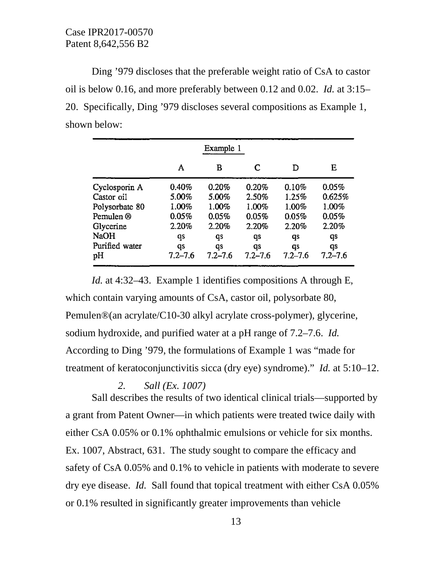Ding '979 discloses that the preferable weight ratio of CsA to castor oil is below 0.16, and more preferably between 0.12 and 0.02. *Id.* at 3:15– 20. Specifically, Ding '979 discloses several compositions as Example 1, shown below:

| Example 1      |             |             |             |             |             |  |
|----------------|-------------|-------------|-------------|-------------|-------------|--|
|                | A           | в           | C           | D           | Е           |  |
| Cyclosporin A  | 0.40%       | 0.20%       | 0.20%       | 0.10%       | 0.05%       |  |
| Castor oil     | 5.00%       | 5.00%       | 2.50%       | 1.25%       | 0.625%      |  |
| Polysorbate 80 | 1.00%       | 1.00%       | 1.00%       | 1.00%       | 1.00%       |  |
| Pemulen ®      | 0.05%       | 0.05%       | 0.05%       | 0.05%       | 0.05%       |  |
| Glycerine      | 2.20%       | 2.20%       | 2.20%       | 2.20%       | 2.20%       |  |
| <b>NaOH</b>    | qs          | qs          | qs          | qs          | qs          |  |
| Purified water | qs          | qs          | qs          | qs          | qs          |  |
| pН             | $7.2 - 7.6$ | $7.2 - 7.6$ | $7.2 - 7.6$ | $7.2 - 7.6$ | $7.2 - 7.6$ |  |

*Id.* at 4:32–43. Example 1 identifies compositions A through E, which contain varying amounts of CsA, castor oil, polysorbate 80, Pemulen®(an acrylate/C10-30 alkyl acrylate cross-polymer), glycerine, sodium hydroxide, and purified water at a pH range of 7.2–7.6. *Id.* According to Ding '979, the formulations of Example 1 was "made for treatment of keratoconjunctivitis sicca (dry eye) syndrome)." *Id.* at 5:10–12.

### *2. Sall (Ex. 1007)*

Sall describes the results of two identical clinical trials—supported by a grant from Patent Owner—in which patients were treated twice daily with either CsA 0.05% or 0.1% ophthalmic emulsions or vehicle for six months. Ex. 1007, Abstract, 631. The study sought to compare the efficacy and safety of CsA 0.05% and 0.1% to vehicle in patients with moderate to severe dry eye disease. *Id.* Sall found that topical treatment with either CsA 0.05% or 0.1% resulted in significantly greater improvements than vehicle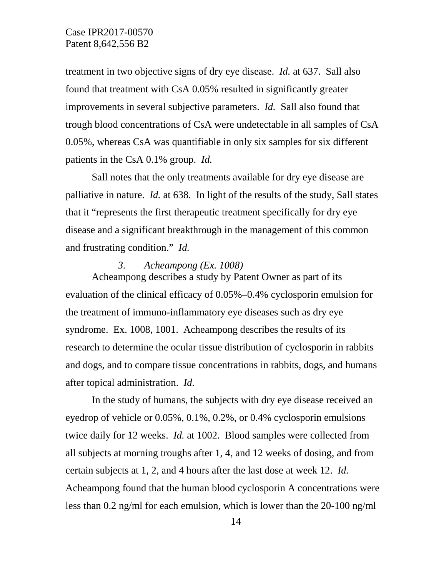treatment in two objective signs of dry eye disease. *Id.* at 637. Sall also found that treatment with CsA 0.05% resulted in significantly greater improvements in several subjective parameters. *Id.* Sall also found that trough blood concentrations of CsA were undetectable in all samples of CsA 0.05%, whereas CsA was quantifiable in only six samples for six different patients in the CsA 0.1% group. *Id.*

Sall notes that the only treatments available for dry eye disease are palliative in nature. *Id.* at 638. In light of the results of the study, Sall states that it "represents the first therapeutic treatment specifically for dry eye disease and a significant breakthrough in the management of this common and frustrating condition." *Id.*

#### *3. Acheampong (Ex. 1008)*

Acheampong describes a study by Patent Owner as part of its evaluation of the clinical efficacy of 0.05%–0.4% cyclosporin emulsion for the treatment of immuno-inflammatory eye diseases such as dry eye syndrome. Ex. 1008, 1001. Acheampong describes the results of its research to determine the ocular tissue distribution of cyclosporin in rabbits and dogs, and to compare tissue concentrations in rabbits, dogs, and humans after topical administration. *Id.*

In the study of humans, the subjects with dry eye disease received an eyedrop of vehicle or 0.05%, 0.1%, 0.2%, or 0.4% cyclosporin emulsions twice daily for 12 weeks. *Id.* at 1002. Blood samples were collected from all subjects at morning troughs after 1, 4, and 12 weeks of dosing, and from certain subjects at 1, 2, and 4 hours after the last dose at week 12. *Id.* Acheampong found that the human blood cyclosporin A concentrations were less than 0.2 ng/ml for each emulsion, which is lower than the 20-100 ng/ml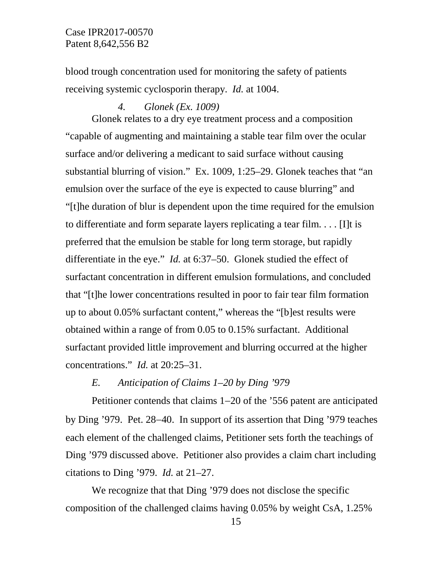blood trough concentration used for monitoring the safety of patients receiving systemic cyclosporin therapy. *Id.* at 1004.

#### *4. Glonek (Ex. 1009)*

Glonek relates to a dry eye treatment process and a composition "capable of augmenting and maintaining a stable tear film over the ocular surface and/or delivering a medicant to said surface without causing substantial blurring of vision." Ex. 1009, 1:25–29. Glonek teaches that "an emulsion over the surface of the eye is expected to cause blurring" and "[t]he duration of blur is dependent upon the time required for the emulsion to differentiate and form separate layers replicating a tear film. . . . [I]t is preferred that the emulsion be stable for long term storage, but rapidly differentiate in the eye." *Id.* at 6:37–50. Glonek studied the effect of surfactant concentration in different emulsion formulations, and concluded that "[t]he lower concentrations resulted in poor to fair tear film formation up to about 0.05% surfactant content," whereas the "[b]est results were obtained within a range of from 0.05 to 0.15% surfactant. Additional surfactant provided little improvement and blurring occurred at the higher concentrations." *Id.* at 20:25–31.

## *E. Anticipation of Claims 1–20 by Ding '979*

Petitioner contends that claims 1−20 of the '556 patent are anticipated by Ding '979. Pet. 28−40. In support of its assertion that Ding '979 teaches each element of the challenged claims, Petitioner sets forth the teachings of Ding '979 discussed above. Petitioner also provides a claim chart including citations to Ding '979. *Id.* at 21–27.

We recognize that that Ding '979 does not disclose the specific composition of the challenged claims having 0.05% by weight CsA, 1.25%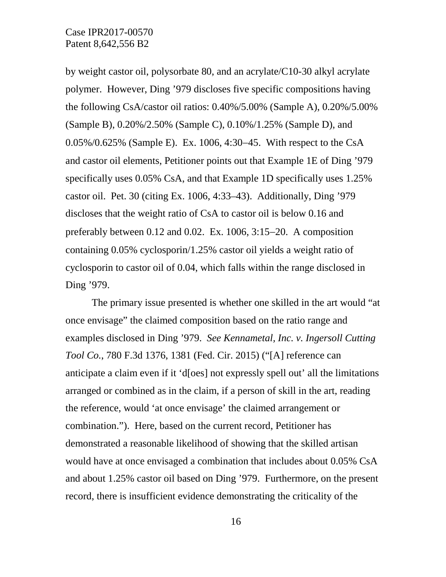by weight castor oil, polysorbate 80, and an acrylate/C10-30 alkyl acrylate polymer. However, Ding '979 discloses five specific compositions having the following CsA/castor oil ratios: 0.40%/5.00% (Sample A), 0.20%/5.00% (Sample B), 0.20%/2.50% (Sample C), 0.10%/1.25% (Sample D), and 0.05%/0.625% (Sample E). Ex. 1006, 4:30−45. With respect to the CsA and castor oil elements, Petitioner points out that Example 1E of Ding '979 specifically uses 0.05% CsA, and that Example 1D specifically uses 1.25% castor oil. Pet. 30 (citing Ex. 1006, 4:33–43). Additionally, Ding '979 discloses that the weight ratio of CsA to castor oil is below 0.16 and preferably between 0.12 and 0.02. Ex. 1006, 3:15−20. A composition containing 0.05% cyclosporin/1.25% castor oil yields a weight ratio of cyclosporin to castor oil of 0.04, which falls within the range disclosed in Ding '979.

The primary issue presented is whether one skilled in the art would "at once envisage" the claimed composition based on the ratio range and examples disclosed in Ding '979. *See Kennametal, Inc. v. Ingersoll Cutting Tool Co.*, 780 F.3d 1376, 1381 (Fed. Cir. 2015) ("[A] reference can anticipate a claim even if it 'd[oes] not expressly spell out' all the limitations arranged or combined as in the claim, if a person of skill in the art, reading the reference, would 'at once envisage' the claimed arrangement or combination."). Here, based on the current record, Petitioner has demonstrated a reasonable likelihood of showing that the skilled artisan would have at once envisaged a combination that includes about 0.05% CsA and about 1.25% castor oil based on Ding '979. Furthermore, on the present record, there is insufficient evidence demonstrating the criticality of the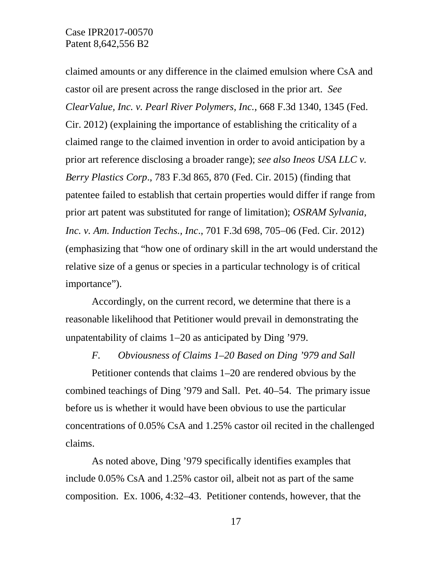claimed amounts or any difference in the claimed emulsion where CsA and castor oil are present across the range disclosed in the prior art. *See ClearValue, Inc. v. Pearl River Polymers, Inc.*, 668 F.3d 1340, 1345 (Fed. Cir. 2012) (explaining the importance of establishing the criticality of a claimed range to the claimed invention in order to avoid anticipation by a prior art reference disclosing a broader range); *see also Ineos USA LLC v. Berry Plastics Corp*., 783 F.3d 865, 870 (Fed. Cir. 2015) (finding that patentee failed to establish that certain properties would differ if range from prior art patent was substituted for range of limitation); *OSRAM Sylvania, Inc. v. Am. Induction Techs., Inc*., 701 F.3d 698, 705−06 (Fed. Cir. 2012) (emphasizing that "how one of ordinary skill in the art would understand the relative size of a genus or species in a particular technology is of critical importance").

Accordingly, on the current record, we determine that there is a reasonable likelihood that Petitioner would prevail in demonstrating the unpatentability of claims 1−20 as anticipated by Ding '979.

#### *F. Obviousness of Claims 1–20 Based on Ding '979 and Sall*

Petitioner contends that claims 1–20 are rendered obvious by the combined teachings of Ding '979 and Sall. Pet. 40–54. The primary issue before us is whether it would have been obvious to use the particular concentrations of 0.05% CsA and 1.25% castor oil recited in the challenged claims.

As noted above, Ding '979 specifically identifies examples that include 0.05% CsA and 1.25% castor oil, albeit not as part of the same composition. Ex. 1006, 4:32–43. Petitioner contends, however, that the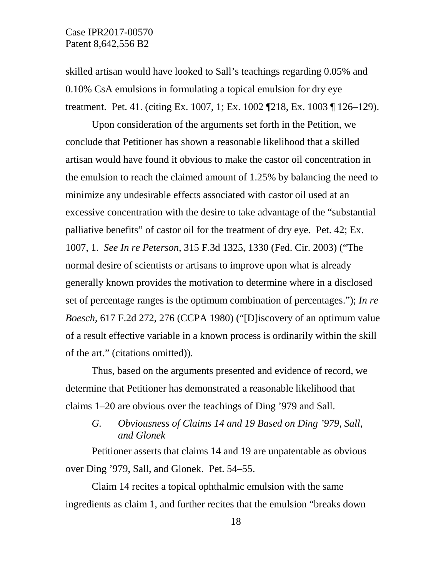skilled artisan would have looked to Sall's teachings regarding 0.05% and 0.10% CsA emulsions in formulating a topical emulsion for dry eye treatment. Pet. 41. (citing Ex. 1007, 1; Ex. 1002 ¶218, Ex. 1003 ¶ 126–129).

Upon consideration of the arguments set forth in the Petition, we conclude that Petitioner has shown a reasonable likelihood that a skilled artisan would have found it obvious to make the castor oil concentration in the emulsion to reach the claimed amount of 1.25% by balancing the need to minimize any undesirable effects associated with castor oil used at an excessive concentration with the desire to take advantage of the "substantial palliative benefits" of castor oil for the treatment of dry eye. Pet. 42; Ex. 1007, 1. *See In re Peterson*, 315 F.3d 1325, 1330 (Fed. Cir. 2003) ("The normal desire of scientists or artisans to improve upon what is already generally known provides the motivation to determine where in a disclosed set of percentage ranges is the optimum combination of percentages."); *In re Boesch*, 617 F.2d 272, 276 (CCPA 1980) ("[D]iscovery of an optimum value of a result effective variable in a known process is ordinarily within the skill of the art." (citations omitted)).

Thus, based on the arguments presented and evidence of record, we determine that Petitioner has demonstrated a reasonable likelihood that claims 1–20 are obvious over the teachings of Ding '979 and Sall.

*G. Obviousness of Claims 14 and 19 Based on Ding '979, Sall, and Glonek*

Petitioner asserts that claims 14 and 19 are unpatentable as obvious over Ding '979, Sall, and Glonek. Pet. 54–55.

Claim 14 recites a topical ophthalmic emulsion with the same ingredients as claim 1, and further recites that the emulsion "breaks down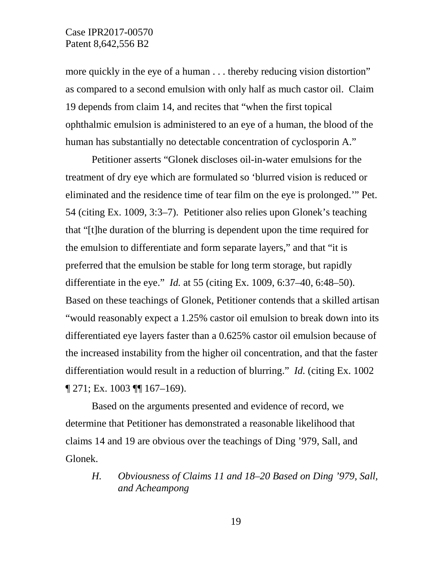more quickly in the eye of a human . . . thereby reducing vision distortion" as compared to a second emulsion with only half as much castor oil. Claim 19 depends from claim 14, and recites that "when the first topical ophthalmic emulsion is administered to an eye of a human, the blood of the human has substantially no detectable concentration of cyclosporin A."

Petitioner asserts "Glonek discloses oil-in-water emulsions for the treatment of dry eye which are formulated so 'blurred vision is reduced or eliminated and the residence time of tear film on the eye is prolonged.'" Pet. 54 (citing Ex. 1009, 3:3–7). Petitioner also relies upon Glonek's teaching that "[t]he duration of the blurring is dependent upon the time required for the emulsion to differentiate and form separate layers," and that "it is preferred that the emulsion be stable for long term storage, but rapidly differentiate in the eye." *Id.* at 55 (citing Ex. 1009, 6:37–40, 6:48–50). Based on these teachings of Glonek, Petitioner contends that a skilled artisan "would reasonably expect a 1.25% castor oil emulsion to break down into its differentiated eye layers faster than a 0.625% castor oil emulsion because of the increased instability from the higher oil concentration, and that the faster differentiation would result in a reduction of blurring." *Id.* (citing Ex. 1002 ¶ 271; Ex. 1003 ¶¶ 167–169).

Based on the arguments presented and evidence of record, we determine that Petitioner has demonstrated a reasonable likelihood that claims 14 and 19 are obvious over the teachings of Ding '979, Sall, and Glonek.

*H. Obviousness of Claims 11 and 18–20 Based on Ding '979, Sall, and Acheampong*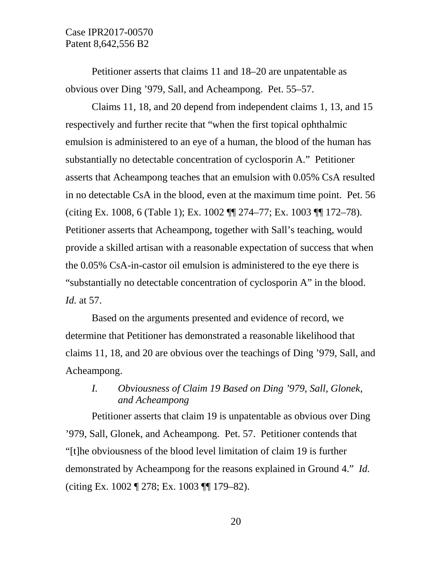Petitioner asserts that claims 11 and 18–20 are unpatentable as obvious over Ding '979, Sall, and Acheampong. Pet. 55–57.

Claims 11, 18, and 20 depend from independent claims 1, 13, and 15 respectively and further recite that "when the first topical ophthalmic emulsion is administered to an eye of a human, the blood of the human has substantially no detectable concentration of cyclosporin A." Petitioner asserts that Acheampong teaches that an emulsion with 0.05% CsA resulted in no detectable CsA in the blood, even at the maximum time point. Pet. 56 (citing Ex. 1008, 6 (Table 1); Ex. 1002 ¶¶ 274–77; Ex. 1003 ¶¶ 172–78). Petitioner asserts that Acheampong, together with Sall's teaching, would provide a skilled artisan with a reasonable expectation of success that when the 0.05% CsA-in-castor oil emulsion is administered to the eye there is "substantially no detectable concentration of cyclosporin A" in the blood. *Id.* at 57.

Based on the arguments presented and evidence of record, we determine that Petitioner has demonstrated a reasonable likelihood that claims 11, 18, and 20 are obvious over the teachings of Ding '979, Sall, and Acheampong.

# *I. Obviousness of Claim 19 Based on Ding '979, Sall, Glonek, and Acheampong*

Petitioner asserts that claim 19 is unpatentable as obvious over Ding '979, Sall, Glonek, and Acheampong. Pet. 57. Petitioner contends that "[t]he obviousness of the blood level limitation of claim 19 is further demonstrated by Acheampong for the reasons explained in Ground 4." *Id.* (citing Ex. 1002 ¶ 278; Ex. 1003 ¶¶ 179–82).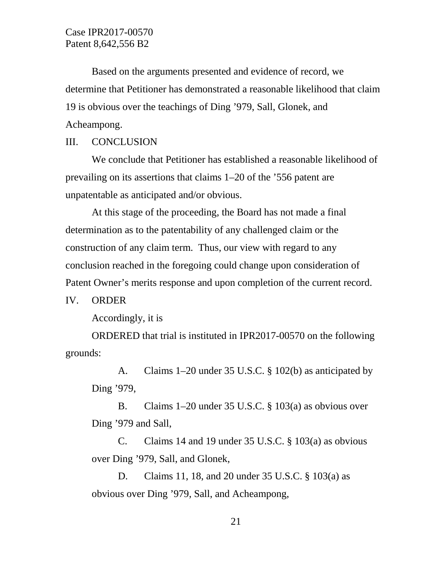Based on the arguments presented and evidence of record, we determine that Petitioner has demonstrated a reasonable likelihood that claim 19 is obvious over the teachings of Ding '979, Sall, Glonek, and Acheampong.

### III. CONCLUSION

We conclude that Petitioner has established a reasonable likelihood of prevailing on its assertions that claims 1–20 of the '556 patent are unpatentable as anticipated and/or obvious.

At this stage of the proceeding, the Board has not made a final determination as to the patentability of any challenged claim or the construction of any claim term. Thus, our view with regard to any conclusion reached in the foregoing could change upon consideration of Patent Owner's merits response and upon completion of the current record.

#### IV. ORDER

Accordingly, it is

ORDERED that trial is instituted in IPR2017-00570 on the following grounds:

A. Claims 1–20 under 35 U.S.C. § 102(b) as anticipated by Ding '979,

B. Claims 1–20 under 35 U.S.C. § 103(a) as obvious over Ding '979 and Sall,

C. Claims 14 and 19 under 35 U.S.C. § 103(a) as obvious over Ding '979, Sall, and Glonek,

D. Claims 11, 18, and 20 under 35 U.S.C. § 103(a) as obvious over Ding '979, Sall, and Acheampong,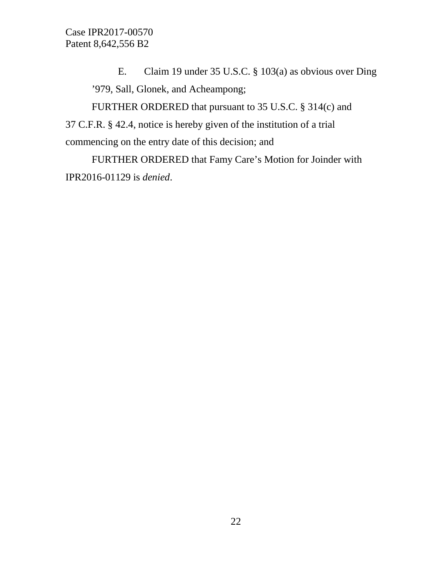E. Claim 19 under 35 U.S.C. § 103(a) as obvious over Ding '979, Sall, Glonek, and Acheampong;

FURTHER ORDERED that pursuant to 35 U.S.C. § 314(c) and 37 C.F.R. § 42.4, notice is hereby given of the institution of a trial commencing on the entry date of this decision; and

FURTHER ORDERED that Famy Care's Motion for Joinder with IPR2016-01129 is *denied*.